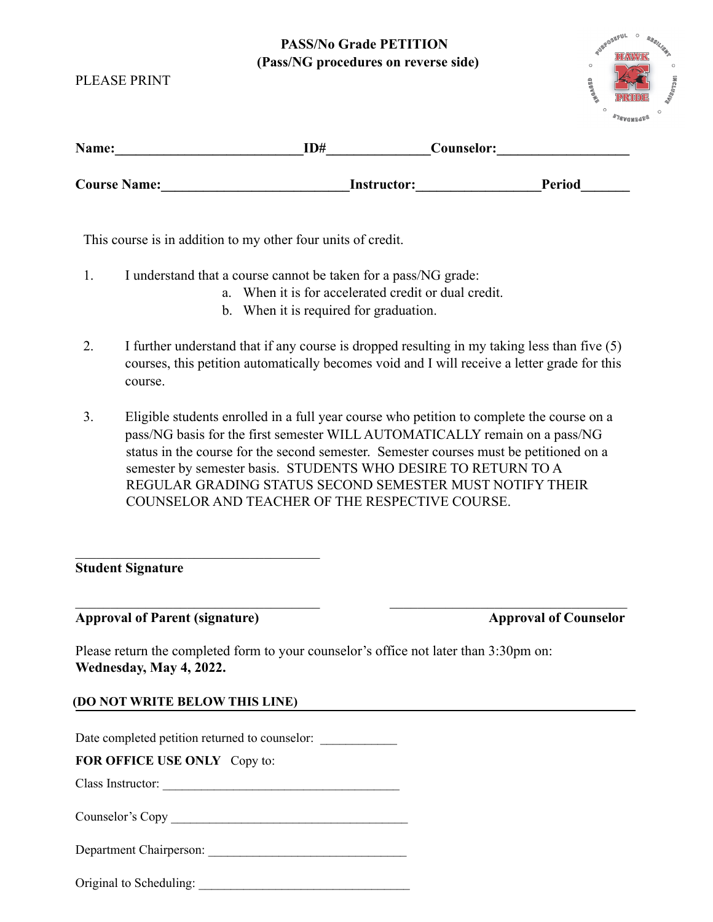# **PASS/No Grade PETITI (Pass/NG procedures on revert**)

| ON<br>erse side) | $\circ$<br><b>SURPOSEFUL</b><br><b>RESILIERT</b><br>高<br>$\circ$<br>$\circ$     |  |  |
|------------------|---------------------------------------------------------------------------------|--|--|
|                  | <b>INCLUSION</b><br><b>GED</b><br><b>PRIDE</b>                                  |  |  |
|                  | $\circ$<br>$\circ$<br>$\mathscr{D} \mathcal{I} \mathscr{C}$ where $\mathscr{C}$ |  |  |
| 'ouncolor:       |                                                                                 |  |  |

| Name:               | ID#         | Counselor: |               |
|---------------------|-------------|------------|---------------|
| <b>Course Name:</b> | Instructor: |            | <b>Period</b> |

This course is in addition to my other four units of credit.

- 1. I understand that a course cannot be taken for a pass/NG grade:
	- a. When it is for accelerated credit or dual credit.
	- b. When it is required for graduation.
- 2. I further understand that if any course is dropped resulting in my taking less than five (5) courses, this petition automatically becomes void and I will receive a letter grade for this course.
- 3. Eligible students enrolled in a full year course who petition to complete the course on a pass/NG basis for the first semester WILL AUTOMATICALLY remain on a pass/NG status in the course for the second semester. Semester courses must be petitioned on a semester by semester basis. STUDENTS WHO DESIRE TO RETURN TO A REGULAR GRADING STATUS SECOND SEMESTER MUST NOTIFY THEIR COUNSELOR AND TEACHER OF THE RESPECTIVE COURSE.

 $\_$  , and the contribution of the contribution of  $\_$  . The contribution of  $\_$  ,  $\_$  ,  $\_$  ,  $\_$  ,  $\_$  ,  $\_$  ,  $\_$  ,  $\_$  ,  $\_$  ,  $\_$  ,  $\_$  ,  $\_$  ,  $\_$  ,  $\_$  ,  $\_$  ,  $\_$  ,  $\_$  ,  $\_$  ,  $\_$  ,  $\_$  ,  $\_$  ,  $\_$  ,  $\_$  ,  $\_$  ,

## **Student Signature**

PLEASE PRINT

## Approval of Parent (signature) Approval of Counselor

Please return the completed form to your counselor's office not later than 3:30pm on: **Wednesday, May 4, 2022.**

## **(DO NOT WRITE BELOW THIS LINE)**

\_\_\_\_\_\_\_\_\_\_\_\_\_\_\_\_\_\_\_\_\_\_\_\_\_\_\_\_\_\_\_\_\_\_\_

Date completed petition returned to counselor:

**FOR OFFICE USE ONLY** Copy to:

Class Instructor: \_\_\_\_\_\_\_\_\_\_\_\_\_\_\_\_\_\_\_\_\_\_\_\_\_\_\_\_\_\_\_\_\_\_\_\_\_

Counselor's Copy

Department Chairperson:

Original to Scheduling: